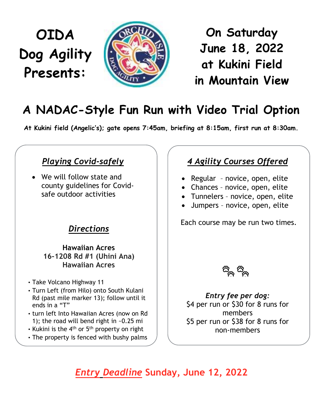# **OIDA Dog Agility Presents:**



**On Saturday June 1, 202 at Kukini Field in Mountain View**

## **A NADAC-Style Fun Run with Video Trial Option**

At Kukini field (Angelic's); gate opens 7:45am, briefing at 8:15am, first run at 8:30am.

## *Playing Covid-safely*

 $\bullet$  We will follow state and county guidelines for Covidsafe outdoor activities

## *Directions*

#### **Hawaiian Acres 16-1208 Rd #1 (Uhini Ana) Hawaiian Acres**

- Take Volcano Highway 11
- Turn Left (from Hilo) onto South Kulani Rd (past mile marker 13); follow until it ends in a  $"T"$
- turn left Into Hawaiian Acres (now on Rd 1); the road will bend right in ~0.25 mi
- Kukini is the  $4<sup>th</sup>$  or  $5<sup>th</sup>$  property on right
- The property is fenced with bushy palms

## *4 Agility Courses Offered*

- Regular novice, open, elite
- Chances novice, open, elite
- Tunnelers novice, open, elite
- Jumpers novice, open, elite

Each course may be run two times.



*Entry fee per dog:*   $$4$  per run or  $$30$  for 8 runs for members \$5 per run or \$38 for 8 runs for non-members

*Entry Deadline* **Sunday, June 1, 202 Come join us for a fun-loving day**